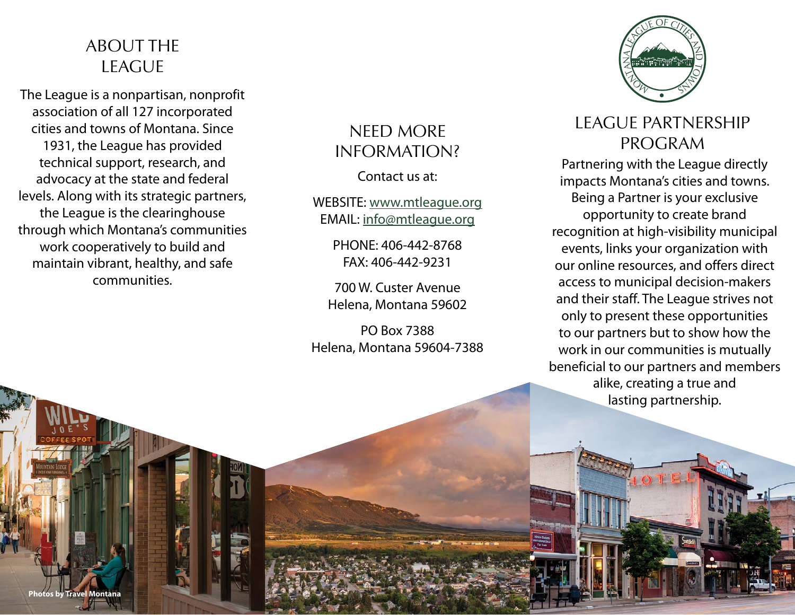#### ABOUT THE LEAGUE

The League is a nonpartisan, nonprofit association of all 127 incorporated cities and towns of Montana. Since 1931, the League has provided technical support, research, and advocacy at the state and federal levels. Along with its strategic partners, the League is the clearinghouse through which Montana's communities work cooperatively to build and maintain vibrant, healthy, and safe communities.

**Photos by Travel Montana**

## NEED MORE INFORMATION?

Contact us at:

WEBSITE: [www.mtleague.org](https://www.mtleague.org) EMAIL: [info@mtleague.org](mailto:info%40mtleague.org%20?subject=)

> PHONE: 406-442-8768 FAX: 406-442-9231

700 W. Custer Avenue Helena, Montana 59602

PO Box 7388 Helena, Montana 59604-7388



## LEAGUE PARTNERSHIP PROGRAM

Partnering with the League directly impacts Montana's cities and towns. Being a Partner is your exclusive opportunity to create brand recognition at high-visibility municipal events, links your organization with our online resources, and offers direct access to municipal decision-makers and their staff. The League strives not only to present these opportunities to our partners but to show how the work in our communities is mutually beneficial to our partners and members alike, creating a true and lasting partnership.